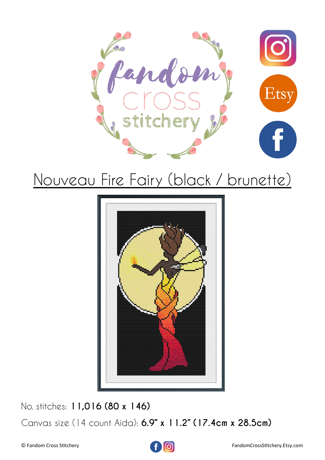



No. stitches: **11,016 (80 x 146)** Canvas size (14 count Aida): **6.9" x 11.2" (17.4cm x 28.5cm)**

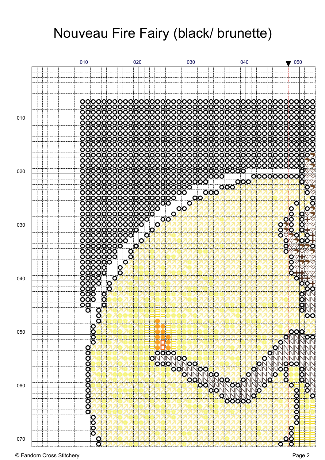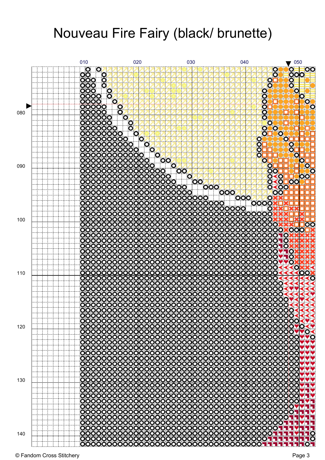![](_page_2_Figure_1.jpeg)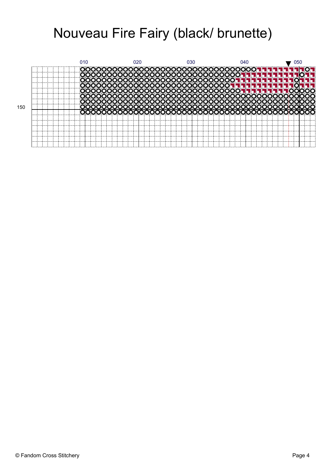![](_page_3_Figure_1.jpeg)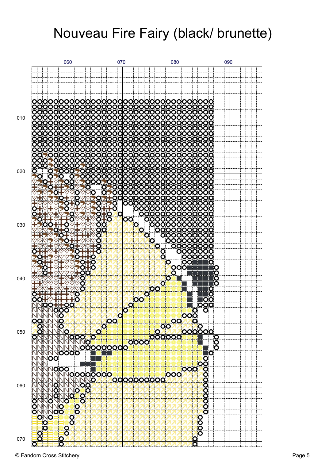![](_page_4_Figure_1.jpeg)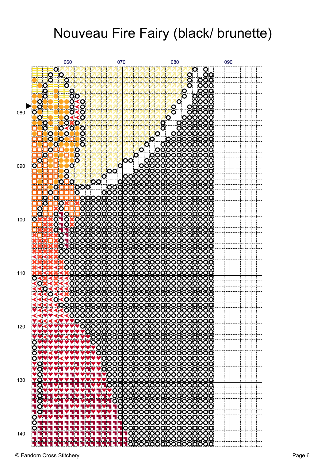![](_page_5_Figure_1.jpeg)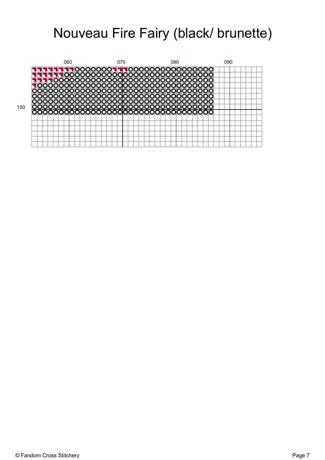![](_page_6_Figure_1.jpeg)

150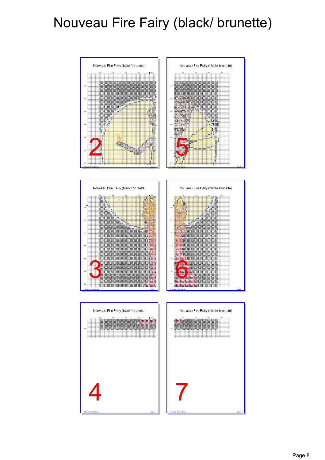![](_page_7_Figure_1.jpeg)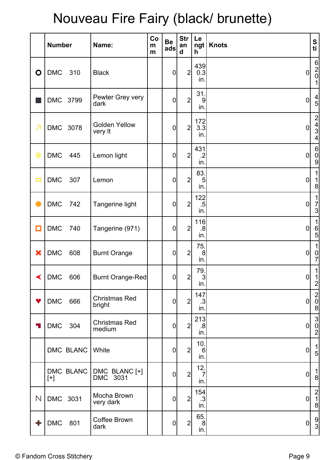|                      | <b>Number</b>      | Name:                           | Co<br>m<br>m | <b>Be</b><br>ads | <b>Str</b><br>an<br>d | Le<br>$\lfloor ngt \rfloor$<br>h | <b>Knots</b>   | S<br>ti                                                     |
|----------------------|--------------------|---------------------------------|--------------|------------------|-----------------------|----------------------------------|----------------|-------------------------------------------------------------|
| $\mathbf O$          | <b>DMC</b><br>310  | <b>Black</b>                    |              | $\mathbf 0$      | $\overline{2}$        | 439<br>0.3<br>in.                | 0              | $\begin{bmatrix} 6 \\ 2 \\ 0 \end{bmatrix}$<br>$\mathbf{1}$ |
|                      | DMC 3799           | Pewter Grey very<br>dark        |              | $\mathbf 0$      | $\overline{2}$        | 31.<br>9<br>in.                  | $\overline{0}$ | $\frac{4}{5}$                                               |
| 7                    | DMC 3078           | <b>Golden Yellow</b><br>very It |              | $\mathbf 0$      | $\overline{2}$        | 172<br>3.3<br>in.                | $\overline{0}$ | $\begin{array}{c}\n 2 \\  4 \\  3 \\  \hline\n \end{array}$ |
| 橡                    | <b>DMC</b><br>445  | Lemon light                     |              | $\overline{0}$   | $\overline{2}$        | 431<br>$\cdot$ .2<br>in.         | $\overline{0}$ | $\begin{matrix} 6 \\ 0 \\ 9 \end{matrix}$                   |
| Ħ                    | <b>DMC</b><br>307  | Lemon                           |              | $\mathbf 0$      | 2                     | 83.<br>5<br>in.                  | 0              | $\mathbf{1}$<br>1<br>$\mathbf{8}$                           |
|                      | <b>DMC</b><br>742  | Tangerine light                 |              | $\mathbf 0$      | $2\vert$              | 122<br>$.5\,$<br>in.             | 0              | 1<br>$rac{7}{3}$                                            |
| $\Box$               | <b>DMC</b><br>740  | Tangerine (971)                 |              | $\mathbf 0$      | 2                     | 116<br>.8<br>in.                 | $\overline{0}$ | 1<br>$6\overline{5}$                                        |
| ×                    | <b>DMC</b><br>608  | <b>Burnt Orange</b>             |              | $\mathbf 0$      | $\overline{2}$        | 75.<br>8<br>in.                  | 0              | $\mathbf{1}$<br>$\frac{0}{7}$                               |
| $\blacktriangleleft$ | DMC 606            | Burnt Orange-Red                |              | 0                | $\overline{2}$        | 79.<br>$\vert 3 \vert$<br>in.    | 0              | 1<br>$\frac{1}{2}$                                          |
| Y                    | <b>DMC</b><br>666  | <b>Christmas Red</b><br>bright  |              | $\mathbf 0$      | $2\vert$              | 147<br>.3<br>in.                 | 0              | $\begin{bmatrix} 2 \\ 0 \\ 8 \end{bmatrix}$                 |
| 4                    | <b>DMC</b><br>304  | <b>Christmas Red</b><br>medium  |              | $\mathbf 0$      | $2\vert$              | 213<br>.8<br>in.                 | 0              | $\begin{bmatrix} 3 \\ 0 \\ 2 \end{bmatrix}$                 |
|                      | DMC BLANC          | White                           |              | $\mathbf 0$      | $2\vert$              | 10.<br>$6\phantom{1}6$<br>in.    | 0              | $\frac{1}{5}$                                               |
|                      | DMC BLANC<br>$[+]$ | DMC BLANC [+]<br>DMC 3031       |              | $\mathbf 0$      | $\overline{2}$        | 12.<br>7<br>in.                  | 0              | $\begin{bmatrix} 1 \\ 8 \end{bmatrix}$                      |
| N                    | DMC 3031           | Mocha Brown<br>very dark        |              | $\mathbf 0$      | 2                     | 154<br>.3<br>in.                 | 0              | $\frac{2}{1}$<br>$\mathbf{8}$                               |
| ╬                    | <b>DMC</b><br>801  | <b>Coffee Brown</b><br>dark     |              | $\overline{0}$   | $2\vert$              | 65.<br>8<br>in.                  | 0              | $\frac{9}{3}$                                               |